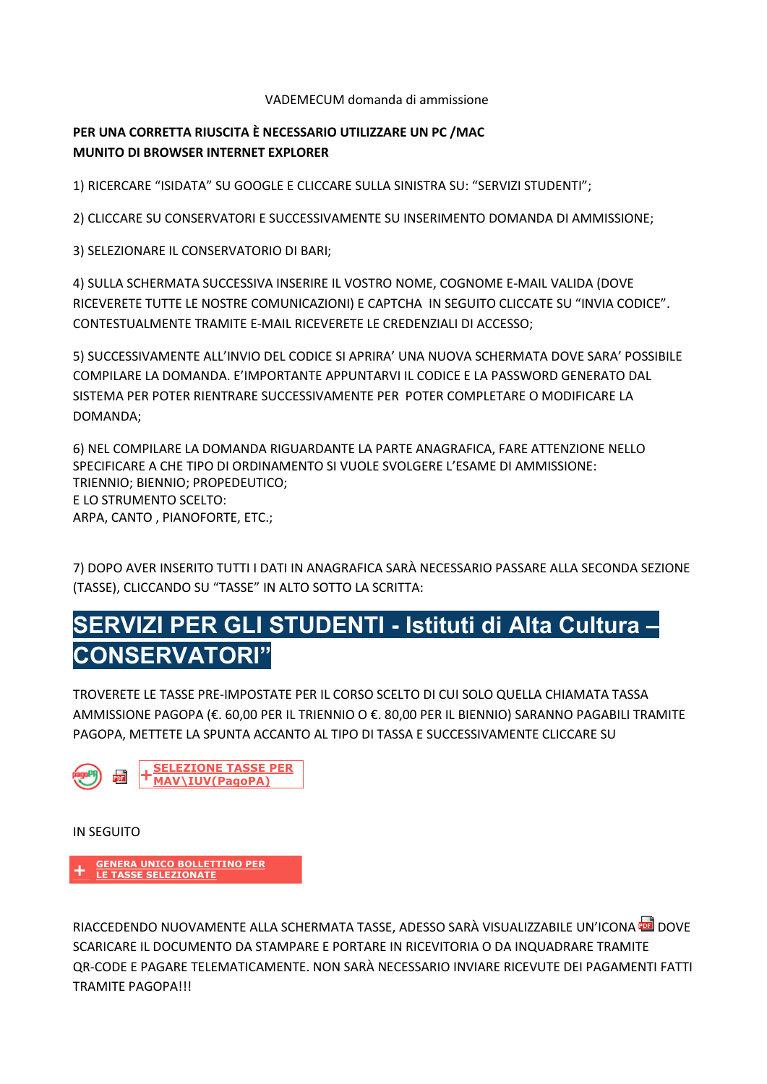VADEMECUM domanda di ammissione

## PER UNA CORRETTA RIUSCITA È NECESSARIO UTILIZZARE UN PC / MAC MUNITO DI BROWSER INTERNET EXPLORER

1) RICERCARE "ISIDATA" SU GOOGLE E CLICCARE SULLA SINISTRA SU: "SERVIZI STUDENTI";

2) CLICCARE SU CONSERVATORI E SUCCESSIVAMENTE SU INSERIMENTO DOMANDA DI AMMISSIONE;

3) SELEZIONARE IL CONSERVATORIO DI BARI;

4) SULLA SCHERMATA SUCCESSIVA INSERIRE IL VOSTRO NOME, COGNOME E-MAIL VALIDA (DOVE RICEVERETE TUTTE LE NOSTRE COMUNICAZIONI) E CAPTCHA IN SEGUITO CLICCATE SU "INVIA CODICE". CONTESTUALMENTE TRAMITE E-MAIL RICEVERETE LE CREDENZIALI DI ACCESSO;

5) SUCCESSIVAMENTE ALL'INVIO DEL CODICE SI APRIRA' UNA NUOVA SCHERMATA DOVE SARA' POSSIBILE COMPILARE LA DOMANDA. E'IMPORTANTE APPUNTARVI IL CODICE E LA PASSWORD GENERATO DAL SISTEMA PER POTER RIENTRARE SUCCESSIVAMENTE PER POTER COMPLETARE O MODIFICARE LA DOMANDA;

6) NEL COMPILARE LA DOMANDA RIGUARDANTE LA PARTE ANAGRAFICA, FARE ATTENZIONE NELLO SPECIFICARE A CHE TIPO DI ORDINAMENTO SI VUOLE SVOLGERE L'ESAME DI AMMISSIONE: TRIENNIO; BIENNIO; PROPEDEUTICO; E LO STRUMENTO SCELTO: ARPA, CANTO, PIANOFORTE, ETC.;

7) DOPO AVER INSERITO TUTTI I DATI IN ANAGRAFICA SARÀ NECESSARIO PASSARE ALLA SECONDA SEZIONE (TASSE), CLICCANDO SU "TASSE" IN ALTO SOTTO LA SCRITTA:

## SERVIZI PER GLI STUDENTI - Istituti di Alta Cultura -**CONSERVATORI"**

TROVERETE LE TASSE PRE-IMPOSTATE PER IL CORSO SCELTO DI CUI SOLO QUELLA CHIAMATA TASSA AMMISSIONE PAGOPA (€. 60,00 PER IL TRIENNIO O €. 80,00 PER IL BIENNIO) SARANNO PAGABILI TRAMITE PAGOPA, METTETE LA SPUNTA ACCANTO AL TIPO DI TASSA E SUCCESSIVAMENTE CLICCARE SU



**IN SEGUITO** 

## **GENERA UNICO BOLLETTINO PER** LE TASSE SELEZIONATE

RIACCEDENDO NUOVAMENTE ALLA SCHERMATA TASSE, ADESSO SARÀ VISUALIZZABILE UN'ICONA DI DOVE SCARICARE IL DOCUMENTO DA STAMPARE E PORTARE IN RICEVITORIA O DA INQUADRARE TRAMITE OR-CODE E PAGARE TELEMATICAMENTE. NON SARÀ NECESSARIO INVIARE RICEVUTE DEI PAGAMENTI FATTI **TRAMITE PAGOPA!!!**